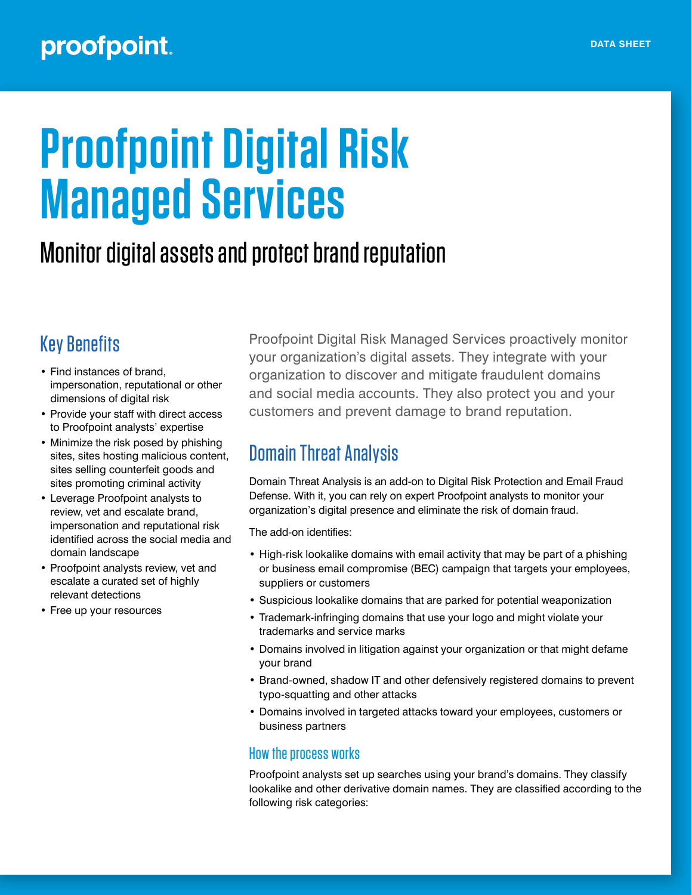# **Proofpoint Digital Risk Managed Services**

## Monitor digital assets and protect brand reputation

## Key Benefits

- Find instances of brand, impersonation, reputational or other dimensions of digital risk
- Provide your staff with direct access to Proofpoint analysts' expertise
- Minimize the risk posed by phishing sites, sites hosting malicious content, sites selling counterfeit goods and sites promoting criminal activity
- Leverage Proofpoint analysts to review, vet and escalate brand, impersonation and reputational risk identified across the social media and domain landscape
- Proofpoint analysts review, vet and escalate a curated set of highly relevant detections
- Free up your resources

Proofpoint Digital Risk Managed Services proactively monitor your organization's digital assets. They integrate with your organization to discover and mitigate fraudulent domains and social media accounts. They also protect you and your customers and prevent damage to brand reputation.

## Domain Threat Analysis

Domain Threat Analysis is an add-on to Digital Risk Protection and Email Fraud Defense. With it, you can rely on expert Proofpoint analysts to monitor your organization's digital presence and eliminate the risk of domain fraud.

The add-on identifies:

- High-risk lookalike domains with email activity that may be part of a phishing or business email compromise (BEC) campaign that targets your employees, suppliers or customers
- Suspicious lookalike domains that are parked for potential weaponization
- Trademark-infringing domains that use your logo and might violate your trademarks and service marks
- Domains involved in litigation against your organization or that might defame your brand
- Brand-owned, shadow IT and other defensively registered domains to prevent typo-squatting and other attacks
- Domains involved in targeted attacks toward your employees, customers or business partners

#### How the process works

Proofpoint analysts set up searches using your brand's domains. They classify lookalike and other derivative domain names. They are classified according to the following risk categories: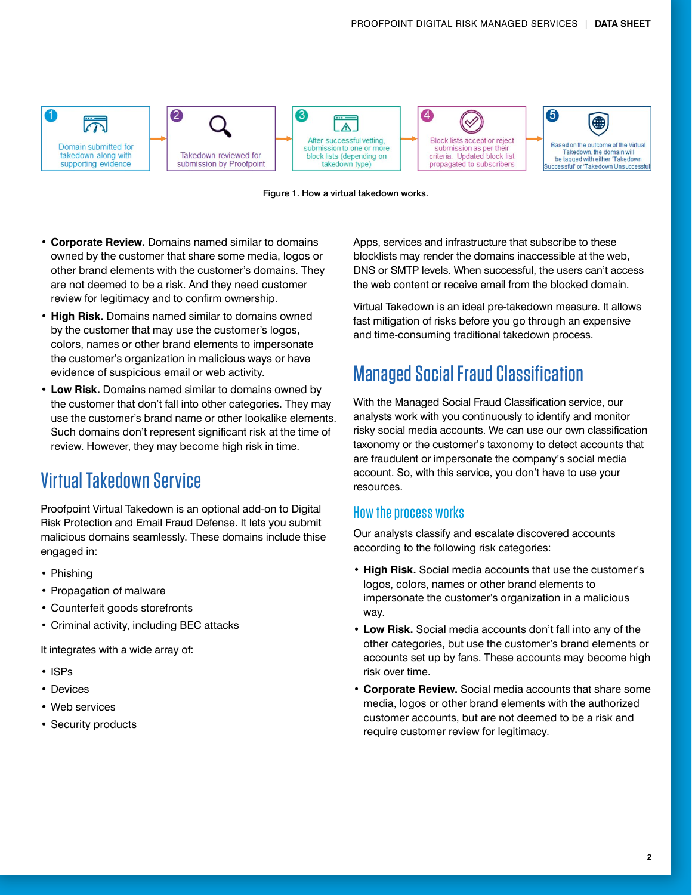



- **• Corporate Review.** Domains named similar to domains owned by the customer that share some media, logos or other brand elements with the customer's domains. They are not deemed to be a risk. And they need customer review for legitimacy and to confirm ownership.
- **• High Risk.** Domains named similar to domains owned by the customer that may use the customer's logos, colors, names or other brand elements to impersonate the customer's organization in malicious ways or have evidence of suspicious email or web activity.
- **• Low Risk.** Domains named similar to domains owned by the customer that don't fall into other categories. They may use the customer's brand name or other lookalike elements. Such domains don't represent significant risk at the time of review. However, they may become high risk in time.

## Virtual Takedown Service

Proofpoint Virtual Takedown is an optional add-on to Digital Risk Protection and Email Fraud Defense. It lets you submit malicious domains seamlessly. These domains include thise engaged in:

- Phishing
- Propagation of malware
- Counterfeit goods storefronts
- Criminal activity, including BEC attacks

It integrates with a wide array of:

- ISPs
- Devices
- Web services
- Security products

Apps, services and infrastructure that subscribe to these blocklists may render the domains inaccessible at the web, DNS or SMTP levels. When successful, the users can't access the web content or receive email from the blocked domain.

Virtual Takedown is an ideal pre-takedown measure. It allows fast mitigation of risks before you go through an expensive and time-consuming traditional takedown process.

## Managed Social Fraud Classification

With the Managed Social Fraud Classification service, our analysts work with you continuously to identify and monitor risky social media accounts. We can use our own classification taxonomy or the customer's taxonomy to detect accounts that are fraudulent or impersonate the company's social media account. So, with this service, you don't have to use your resources.

#### How the process works

Our analysts classify and escalate discovered accounts according to the following risk categories:

- **• High Risk.** Social media accounts that use the customer's logos, colors, names or other brand elements to impersonate the customer's organization in a malicious way.
- **• Low Risk.** Social media accounts don't fall into any of the other categories, but use the customer's brand elements or accounts set up by fans. These accounts may become high risk over time.
- **• Corporate Review.** Social media accounts that share some media, logos or other brand elements with the authorized customer accounts, but are not deemed to be a risk and require customer review for legitimacy.